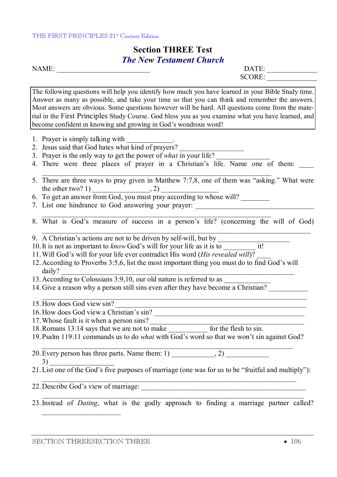#### THE FIRST PRINCIPLES 21<sup>st</sup> Century Edition

## **Section THREE Test**  *The New Testament Church*

NAME: \_\_\_\_\_\_\_\_\_\_\_\_\_\_\_\_\_\_\_\_\_\_\_\_\_\_ DATE: \_\_\_\_\_\_\_\_\_\_\_\_\_\_

SCORE:

The following questions will help you identify how much you have learned in your Bible Study time. Answer as many as possible, and take your time so that you can think and remember the answers. Most answers are obvious. Some questions however will be hard. All questions come from the material in the First Principles Study Course. God bless you as you examine what you have learned, and become confident in knowing and growing in God's wondrous word!

- 1. Prayer is simply talking with
- 2. Jesus said that God hates what kind of prayers?
- 3. Prayer is the only way to get the power of *what* in your life?
- 4. There were three places of prayer in a Christian's life. Name one of them:
- 5. There are three ways to pray given in Matthew 7:7,8, one of them was "asking." What were the other two? 1)  $\qquad \qquad , 2)$
- 6. To get an answer from God, you must pray according to whose will?
- 7. List one hindrance to God answering your prayer:
- 8. What is God's measure of success in a person's life? (concerning the will of God)
- 9. A Christian's actions are not to be driven by self-will, but by
- 10. It is not as important to *know* God's will for your life as it is to  $\frac{1}{1!}$
- 11.Will God's will for your life ever contradict His word (*His revealed will*)? \_\_\_\_
- 12.According to Proverbs 3:5,6, list the most important thing you must do to find God's will daily?
- 13. According to Colossians 3:9,10, our old nature is referred to as
- 14. Give a reason why a person still sins even after they have become a Christian?
- $15$ . How does God view sin?
- 16. How does God view a Christian's sin?
- 17. Whose fault is it when a person sins?
- 18.Romans 13:14 says that we are not to make \_\_\_\_\_\_\_\_\_\_\_ for the flesh to sin.
- 19.Psalm 119:11 commands us to do *what* with God's word so that we won't sin against God?
- $\_$  , and the set of the set of the set of the set of the set of the set of the set of the set of the set of the set of the set of the set of the set of the set of the set of the set of the set of the set of the set of th 20. Every person has three parts. Name them:  $1)$  ,  $2)$  $3)$
- 21.List one of the God's five purposes of marriage (one was for us to be "fruitful and multiply"):
- 22.Describe God's view of marriage: \_\_\_\_\_\_\_\_\_\_\_\_\_\_\_\_\_\_\_\_\_\_\_\_\_\_\_\_\_\_\_\_\_\_\_\_\_\_\_\_\_\_\_\_\_\_
- $\_$  , and the set of the set of the set of the set of the set of the set of the set of the set of the set of the set of the set of the set of the set of the set of the set of the set of the set of the set of the set of th 23.Instead of *Dating*, what is the godly approach to finding a marriage partner called?